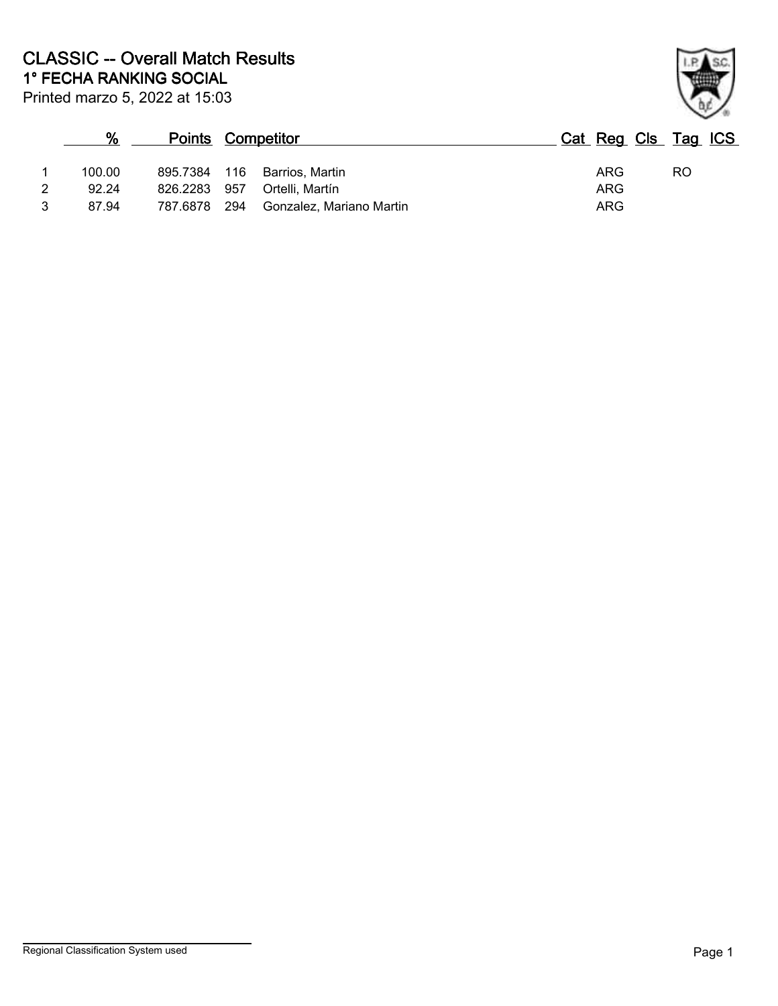|   | $\%$   |              |     | <b>Points Competitor</b>     |     | Cat Reg Cls Tag ICS |    |  |
|---|--------|--------------|-----|------------------------------|-----|---------------------|----|--|
|   | 100.00 |              |     | 895.7384 116 Barrios, Martin | ARG |                     | RO |  |
| 2 | 92.24  | 826.2283     | 957 | Ortelli, Martín              | ARG |                     |    |  |
|   | 87.94  | 787.6878 294 |     | Gonzalez. Mariano Martin     | ARG |                     |    |  |

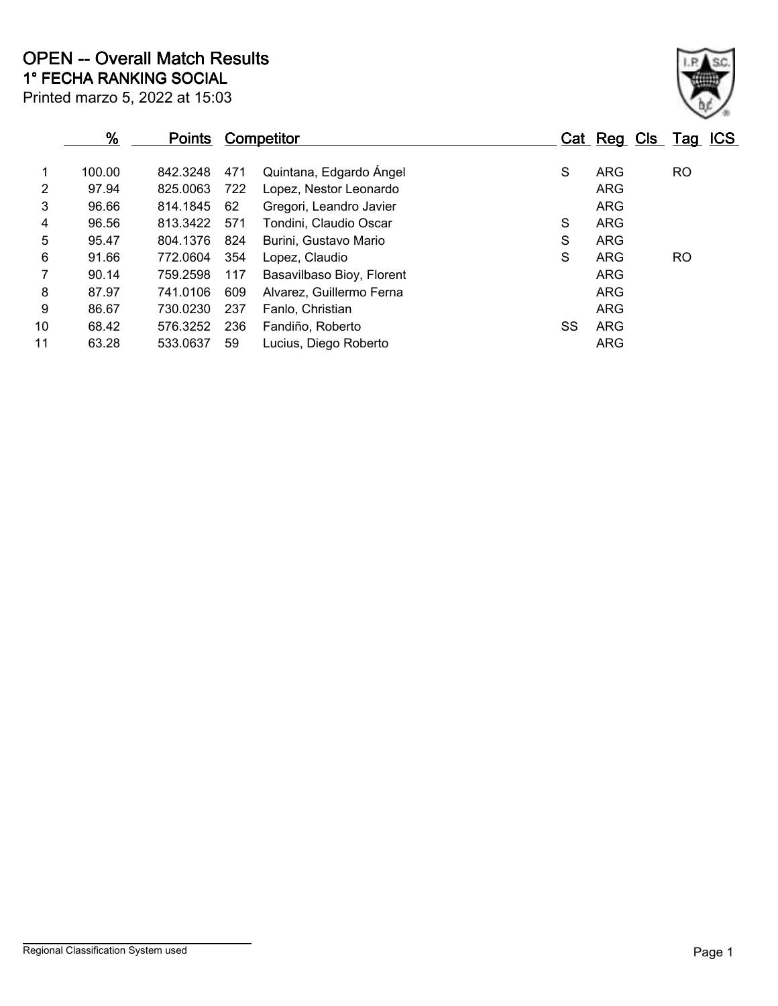|                | $\frac{9}{6}$ | <b>Points</b> |     | Competitor                |    | Cat Reg Cls Tag ICS |           |  |
|----------------|---------------|---------------|-----|---------------------------|----|---------------------|-----------|--|
| 1              | 100.00        | 842.3248      | 471 | Quintana, Edgardo Ángel   | S  | ARG                 | <b>RO</b> |  |
| $\overline{2}$ | 97.94         | 825.0063      | 722 | Lopez, Nestor Leonardo    |    | ARG                 |           |  |
| 3              | 96.66         | 814.1845      | 62  | Gregori, Leandro Javier   |    | ARG                 |           |  |
| 4              | 96.56         | 813.3422      | 571 | Tondini, Claudio Oscar    | S  | ARG                 |           |  |
| 5              | 95.47         | 804.1376      | 824 | Burini, Gustavo Mario     | S  | <b>ARG</b>          |           |  |
| 6              | 91.66         | 772.0604      | 354 | Lopez, Claudio            | S  | ARG                 | <b>RO</b> |  |
| 7              | 90.14         | 759.2598      | 117 | Basavilbaso Bioy, Florent |    | ARG                 |           |  |
| 8              | 87.97         | 741.0106      | 609 | Alvarez, Guillermo Ferna  |    | ARG                 |           |  |
| 9              | 86.67         | 730.0230      | 237 | Fanlo, Christian          |    | ARG                 |           |  |
| 10             | 68.42         | 576.3252      | 236 | Fandiño, Roberto          | SS | ARG                 |           |  |
| 11             | 63.28         | 533.0637      | 59  | Lucius, Diego Roberto     |    | ARG                 |           |  |
|                |               |               |     |                           |    |                     |           |  |

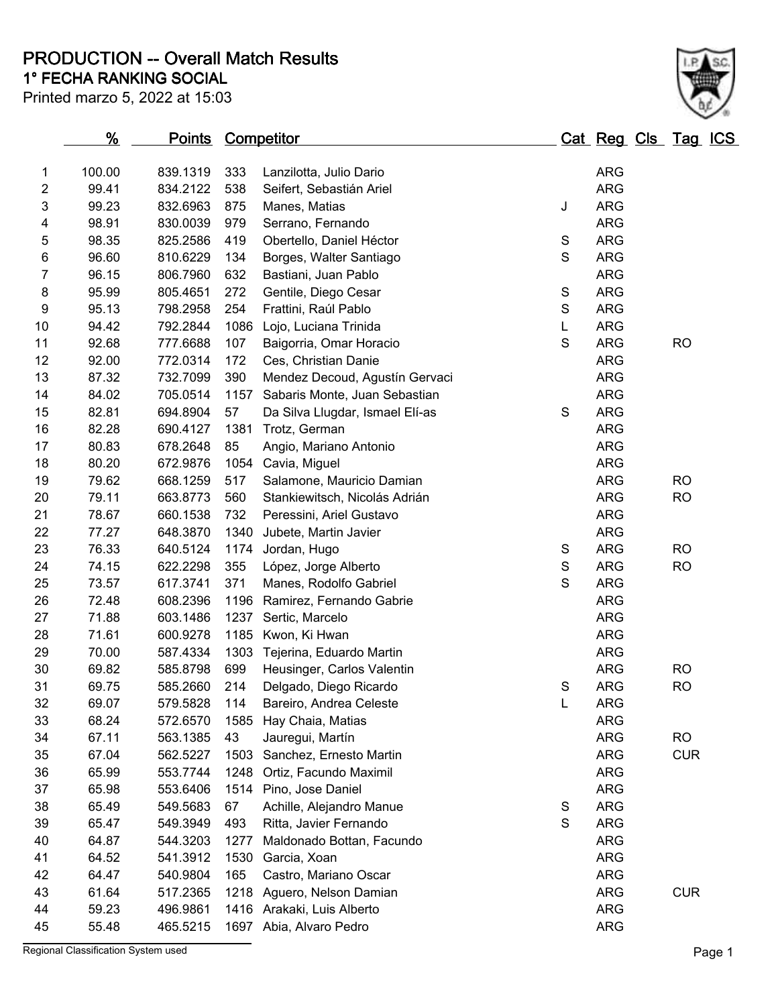**PRODUCTION -- Overall Match Results**

Printed marzo 5, 2022 at 15:03

## **1° FECHA RANKING SOCIAL**

| × |  |
|---|--|

|                                | <u>%</u> | <u>Points Competitor</u> |      |                                                     | <u> Cat Reg Cls Tag ICS</u> |            |  |            |  |
|--------------------------------|----------|--------------------------|------|-----------------------------------------------------|-----------------------------|------------|--|------------|--|
|                                | 100.00   | 839.1319                 | 333  |                                                     |                             | <b>ARG</b> |  |            |  |
| $\mathbf{1}$<br>$\overline{2}$ | 99.41    | 834.2122                 | 538  | Lanzilotta, Julio Dario<br>Seifert, Sebastián Ariel |                             | <b>ARG</b> |  |            |  |
| 3                              | 99.23    | 832.6963                 | 875  |                                                     | J                           | <b>ARG</b> |  |            |  |
| 4                              | 98.91    | 830.0039                 | 979  | Manes, Matias<br>Serrano, Fernando                  |                             | <b>ARG</b> |  |            |  |
| 5                              | 98.35    | 825.2586                 | 419  | Obertello, Daniel Héctor                            | $\mathbf S$                 | <b>ARG</b> |  |            |  |
| 6                              | 96.60    | 810.6229                 | 134  | Borges, Walter Santiago                             | $\mathbf S$                 | <b>ARG</b> |  |            |  |
| $\overline{7}$                 | 96.15    | 806.7960                 | 632  | Bastiani, Juan Pablo                                |                             | <b>ARG</b> |  |            |  |
| 8                              | 95.99    | 805.4651                 | 272  | Gentile, Diego Cesar                                | $\mathbb S$                 | <b>ARG</b> |  |            |  |
| 9                              | 95.13    | 798.2958                 | 254  | Frattini, Raúl Pablo                                | ${\mathsf S}$               | <b>ARG</b> |  |            |  |
| 10                             | 94.42    | 792.2844                 | 1086 | Lojo, Luciana Trinida                               | L.                          | <b>ARG</b> |  |            |  |
| 11                             | 92.68    | 777.6688                 | 107  | Baigorria, Omar Horacio                             | $\mathsf S$                 | <b>ARG</b> |  | <b>RO</b>  |  |
| 12                             | 92.00    | 772.0314                 | 172  | Ces, Christian Danie                                |                             | <b>ARG</b> |  |            |  |
| 13                             | 87.32    | 732.7099                 | 390  | Mendez Decoud, Agustín Gervaci                      |                             | <b>ARG</b> |  |            |  |
| 14                             | 84.02    | 705.0514                 | 1157 | Sabaris Monte, Juan Sebastian                       |                             | <b>ARG</b> |  |            |  |
| 15                             | 82.81    | 694.8904                 | 57   | Da Silva Llugdar, Ismael Elí-as                     | S                           | <b>ARG</b> |  |            |  |
| 16                             | 82.28    | 690.4127                 | 1381 | Trotz, German                                       |                             | <b>ARG</b> |  |            |  |
| 17                             | 80.83    | 678.2648                 | 85   | Angio, Mariano Antonio                              |                             | <b>ARG</b> |  |            |  |
| 18                             | 80.20    | 672.9876                 | 1054 | Cavia, Miguel                                       |                             | <b>ARG</b> |  |            |  |
| 19                             | 79.62    | 668.1259                 | 517  | Salamone, Mauricio Damian                           |                             | <b>ARG</b> |  | <b>RO</b>  |  |
| 20                             | 79.11    | 663.8773                 | 560  | Stankiewitsch, Nicolás Adrián                       |                             | <b>ARG</b> |  | <b>RO</b>  |  |
| 21                             | 78.67    | 660.1538                 | 732  | Peressini, Ariel Gustavo                            |                             | <b>ARG</b> |  |            |  |
| 22                             | 77.27    | 648.3870                 | 1340 | Jubete, Martin Javier                               |                             | <b>ARG</b> |  |            |  |
| 23                             | 76.33    | 640.5124                 | 1174 | Jordan, Hugo                                        | S                           | <b>ARG</b> |  | <b>RO</b>  |  |
| 24                             | 74.15    | 622.2298                 | 355  | López, Jorge Alberto                                | $\mathsf S$                 | <b>ARG</b> |  | <b>RO</b>  |  |
| 25                             | 73.57    | 617.3741                 | 371  | Manes, Rodolfo Gabriel                              | S                           | <b>ARG</b> |  |            |  |
| 26                             | 72.48    | 608.2396                 | 1196 | Ramirez, Fernando Gabrie                            |                             | <b>ARG</b> |  |            |  |
| 27                             | 71.88    | 603.1486                 | 1237 | Sertic, Marcelo                                     |                             | <b>ARG</b> |  |            |  |
| 28                             | 71.61    | 600.9278                 | 1185 | Kwon, Ki Hwan                                       |                             | <b>ARG</b> |  |            |  |
| 29                             | 70.00    | 587.4334                 | 1303 | Tejerina, Eduardo Martin                            |                             | <b>ARG</b> |  |            |  |
| 30                             | 69.82    | 585.8798                 | 699  | Heusinger, Carlos Valentin                          |                             | <b>ARG</b> |  | <b>RO</b>  |  |
| 31                             | 69.75    | 585.2660                 | 214  | Delgado, Diego Ricardo                              | S                           | <b>ARG</b> |  | <b>RO</b>  |  |
| 32                             | 69.07    | 579.5828                 | 114  | Bareiro, Andrea Celeste                             | L                           | <b>ARG</b> |  |            |  |
| 33                             | 68.24    | 572.6570                 | 1585 | Hay Chaia, Matias                                   |                             | <b>ARG</b> |  |            |  |
| 34                             | 67.11    | 563.1385                 | 43   | Jauregui, Martín                                    |                             | <b>ARG</b> |  | <b>RO</b>  |  |
| 35                             | 67.04    | 562.5227                 | 1503 | Sanchez, Ernesto Martin                             |                             | <b>ARG</b> |  | <b>CUR</b> |  |
| 36                             | 65.99    | 553.7744                 | 1248 | Ortiz, Facundo Maximil                              |                             | <b>ARG</b> |  |            |  |
| 37                             | 65.98    | 553.6406                 | 1514 | Pino, Jose Daniel                                   |                             | <b>ARG</b> |  |            |  |
| 38                             | 65.49    | 549.5683                 | 67   | Achille, Alejandro Manue                            | S                           | <b>ARG</b> |  |            |  |
| 39                             | 65.47    | 549.3949                 | 493  | Ritta, Javier Fernando                              | S                           | <b>ARG</b> |  |            |  |
| 40                             | 64.87    | 544.3203                 | 1277 | Maldonado Bottan, Facundo                           |                             | <b>ARG</b> |  |            |  |
| 41                             | 64.52    | 541.3912                 | 1530 | Garcia, Xoan                                        |                             | <b>ARG</b> |  |            |  |
| 42                             | 64.47    | 540.9804                 | 165  | Castro, Mariano Oscar                               |                             | <b>ARG</b> |  |            |  |
| 43                             | 61.64    | 517.2365                 | 1218 | Aguero, Nelson Damian                               |                             | <b>ARG</b> |  | <b>CUR</b> |  |
| 44                             | 59.23    | 496.9861                 |      | 1416 Arakaki, Luis Alberto                          |                             | <b>ARG</b> |  |            |  |
| 45                             | 55.48    | 465.5215                 |      | 1697 Abia, Alvaro Pedro                             |                             | <b>ARG</b> |  |            |  |

Regional Classification System used **Page 1**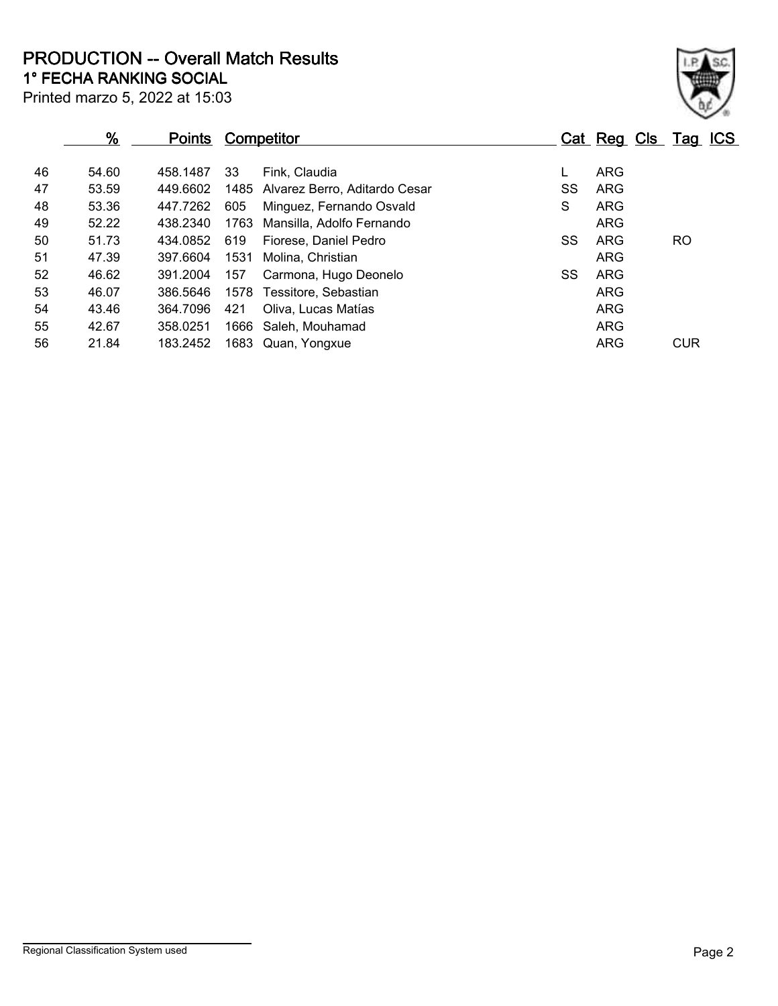**1° FECHA RANKING SOCIAL PRODUCTION -- Overall Match Results**

|  |  |  |  | ____________________________   |  |
|--|--|--|--|--------------------------------|--|
|  |  |  |  | Printed marzo 5, 2022 at 15:03 |  |

## **% Points Competitor Cat Reg Cls Tag ICS** 46 54.60 458.1487 33 Fink, Claudia L ARG 47 53.59 449.6602 1485 Alvarez Berro, Aditardo Cesar SS ARG 48 53.36 447.7262 605 Minguez, Fernando Osvald S ARG 49 52.22 438.2340 1763 Mansilla, Adolfo Fernando ARG 50 51.73 434.0852 619 Fiorese, Daniel Pedro SS ARG RO 51 47.39 397.6604 1531 Molina, Christian ARG 52 46.62 391.2004 157 Carmona, Hugo Deonelo SS ARG 53 46.07 386.5646 1578 Tessitore, Sebastian ARG 54 43.46 364.7096 421 Oliva, Lucas Matías ARG 55 42.67 358.0251 1666 Saleh, Mouhamad ARG 368.0251 1666 ARG 56 21.84 183.2452 1683 Quan, Yongxue **ARG** ARG CUR

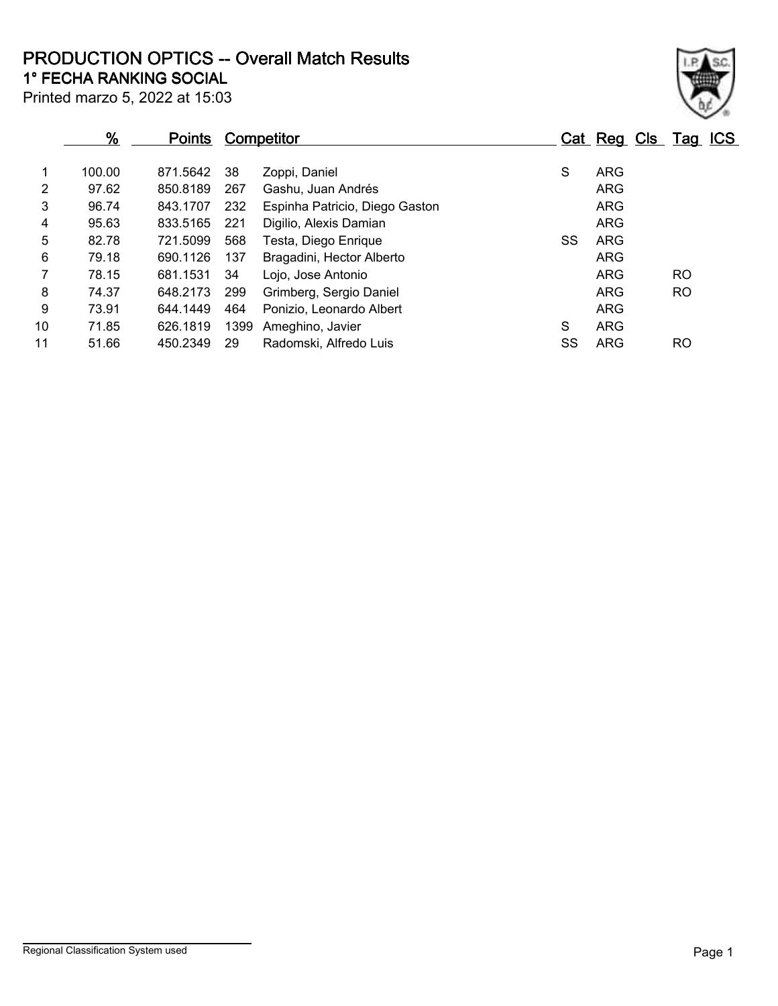**1° FECHA RANKING SOCIAL PRODUCTION OPTICS -- Overall Match Results**

Printed marzo 5, 2022 at 15:03

|                | $\frac{9}{6}$ | <b>Points</b> |      | <b>Competitor</b>              |    | Cat Reg Cls Tag ICS |           |  |
|----------------|---------------|---------------|------|--------------------------------|----|---------------------|-----------|--|
|                | 100.00        | 871.5642      | 38   | Zoppi, Daniel                  | S  | <b>ARG</b>          |           |  |
| 2              | 97.62         | 850.8189      | 267  | Gashu, Juan Andrés             |    | <b>ARG</b>          |           |  |
| 3              | 96.74         | 843.1707      | 232  | Espinha Patricio, Diego Gaston |    | <b>ARG</b>          |           |  |
| 4              | 95.63         | 833.5165      | 221  | Digilio, Alexis Damian         |    | <b>ARG</b>          |           |  |
| 5              | 82.78         | 721.5099      | 568  | Testa, Diego Enrique           | SS | ARG                 |           |  |
| 6              | 79.18         | 690.1126      | 137  | Bragadini, Hector Alberto      |    | <b>ARG</b>          |           |  |
| $\overline{7}$ | 78.15         | 681.1531      | 34   | Lojo, Jose Antonio             |    | <b>ARG</b>          | <b>RO</b> |  |
| 8              | 74.37         | 648.2173      | 299  | Grimberg, Sergio Daniel        |    | <b>ARG</b>          | <b>RO</b> |  |
| 9              | 73.91         | 644.1449      | 464  | Ponizio, Leonardo Albert       |    | <b>ARG</b>          |           |  |
| 10             | 71.85         | 626.1819      | 1399 | Ameghino, Javier               | S  | <b>ARG</b>          |           |  |
| 11             | 51.66         | 450.2349      | 29   | Radomski, Alfredo Luis         | SS | ARG                 | RO        |  |